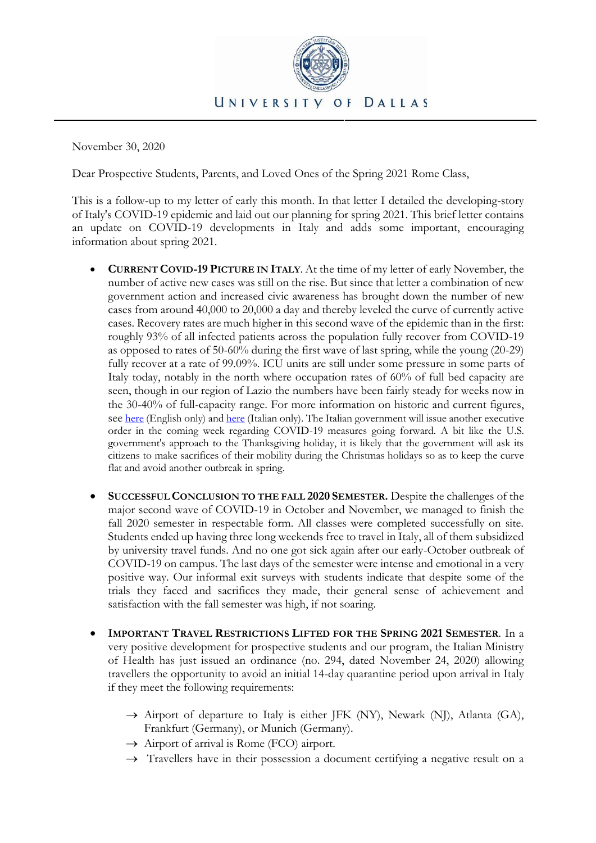

November 30, 2020

Dear Prospective Students, Parents, and Loved Ones of the Spring 2021 Rome Class,

This is a follow-up to my letter of early this month. In that letter I detailed the developing-story of Italy's COVID-19 epidemic and laid out our planning for spring 2021. This brief letter contains an update on COVID-19 developments in Italy and adds some important, encouraging information about spring 2021.

- **CURRENT COVID-19 PICTURE IN ITALY**. At the time of my letter of early November, the number of active new cases was still on the rise. But since that letter a combination of new government action and increased civic awareness has brought down the number of new cases from around 40,000 to 20,000 a day and thereby leveled the curve of currently active cases. Recovery rates are much higher in this second wave of the epidemic than in the first: roughly 93% of all infected patients across the population fully recover from COVID-19 as opposed to rates of 50-60% during the first wave of last spring, while the young (20-29) fully recover at a rate of 99.09%. ICU units are still under some pressure in some parts of Italy today, notably in the north where occupation rates of 60% of full bed capacity are seen, though in our region of Lazio the numbers have been fairly steady for weeks now in the 30-40% of full-capacity range. For more information on historic and current figures, see [here](https://www.worldometers.info/coronavirus/country/italy/) (English only) and [here](https://lab.gedidigital.it/gedi-visual/2020/coronavirus-i-contagi-in-italia/) (Italian only). The Italian government will issue another executive order in the coming week regarding COVID-19 measures going forward. A bit like the U.S. government's approach to the Thanksgiving holiday, it is likely that the government will ask its citizens to make sacrifices of their mobility during the Christmas holidays so as to keep the curve flat and avoid another outbreak in spring.
- **SUCCESSFUL CONCLUSION TO THE FALL 2020 SEMESTER.** Despite the challenges of the major second wave of COVID-19 in October and November, we managed to finish the fall 2020 semester in respectable form. All classes were completed successfully on site. Students ended up having three long weekends free to travel in Italy, all of them subsidized by university travel funds. And no one got sick again after our early-October outbreak of COVID-19 on campus. The last days of the semester were intense and emotional in a very positive way. Our informal exit surveys with students indicate that despite some of the trials they faced and sacrifices they made, their general sense of achievement and satisfaction with the fall semester was high, if not soaring.
- **IMPORTANT TRAVEL RESTRICTIONS LIFTED FOR THE SPRING 2021 SEMESTER**. In a very positive development for prospective students and our program, the Italian Ministry of Health has just issued an ordinance (no. 294, dated November 24, 2020) allowing travellers the opportunity to avoid an initial 14-day quarantine period upon arrival in Italy if they meet the following requirements:
	- $\rightarrow$  Airport of departure to Italy is either JFK (NY), Newark (NJ), Atlanta (GA), Frankfurt (Germany), or Munich (Germany).
	- $\rightarrow$  Airport of arrival is Rome (FCO) airport.
	- $\rightarrow$  Travellers have in their possession a document certifying a negative result on a